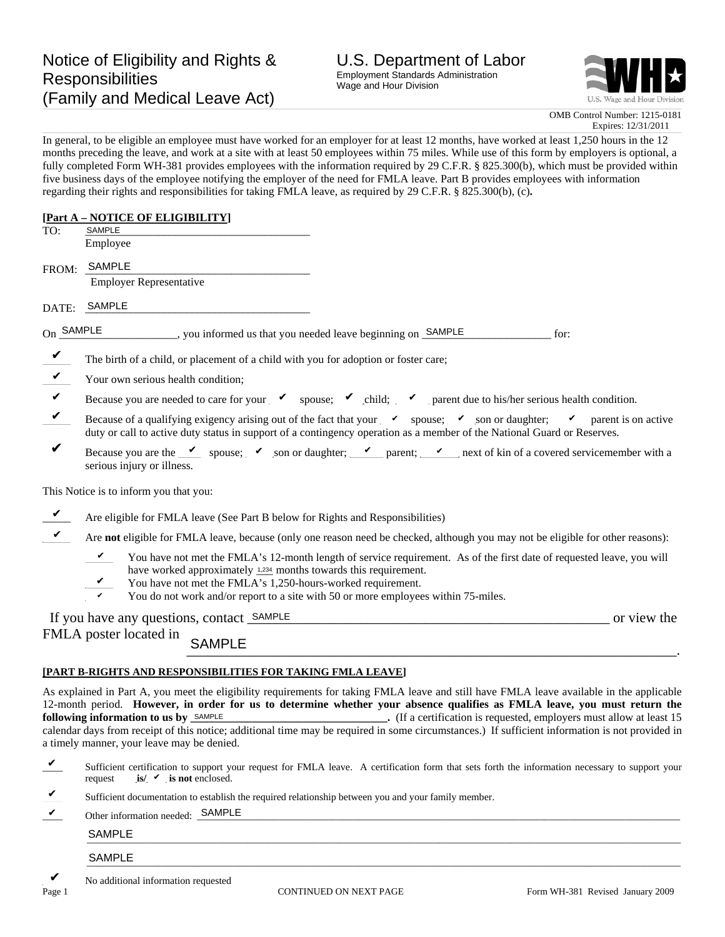

**\_**  OMB Control Number: 1215-0181 Expires: 12/31/2011

In general, to be eligible an employee must have worked for an employer for at least 12 months, have worked at least 1,250 hours in the 12 months preceding the leave, and work at a site with at least 50 employees within 75 miles. While use of this form by employers is optional, a fully completed Form WH-381 provides employees with the information required by 29 C.F.R. § 825.300(b), which must be provided within five business days of the employee notifying the employer of the need for FMLA leave. Part B provides employees with information regarding their rights and responsibilities for taking FMLA leave, as required by 29 C.F.R. § 825.300(b), (c)**.** 

# **[Part A – NOTICE OF ELIGIBILITY]**

| TO:          | SAMPLE                                                                                                                                                                                                                                                                                                                                                                                                                                                                                                                                  |  |  |  |
|--------------|-----------------------------------------------------------------------------------------------------------------------------------------------------------------------------------------------------------------------------------------------------------------------------------------------------------------------------------------------------------------------------------------------------------------------------------------------------------------------------------------------------------------------------------------|--|--|--|
|              | Employee                                                                                                                                                                                                                                                                                                                                                                                                                                                                                                                                |  |  |  |
| FROM:        | SAMPLE                                                                                                                                                                                                                                                                                                                                                                                                                                                                                                                                  |  |  |  |
|              | <b>Employer Representative</b>                                                                                                                                                                                                                                                                                                                                                                                                                                                                                                          |  |  |  |
| DATE:        | SAMPLE                                                                                                                                                                                                                                                                                                                                                                                                                                                                                                                                  |  |  |  |
| On SAMPLE    | _______, you informed us that you needed leave beginning on <b>SAMPLE</b><br>for:                                                                                                                                                                                                                                                                                                                                                                                                                                                       |  |  |  |
| $\checkmark$ | The birth of a child, or placement of a child with you for adoption or foster care;                                                                                                                                                                                                                                                                                                                                                                                                                                                     |  |  |  |
| $\vee$       | Your own serious health condition;                                                                                                                                                                                                                                                                                                                                                                                                                                                                                                      |  |  |  |
| $\checkmark$ | Because you are needed to care for your $\checkmark$ spouse; $\checkmark$ child; $\checkmark$ parent due to his/her serious health condition.                                                                                                                                                                                                                                                                                                                                                                                           |  |  |  |
| $\checkmark$ | Because of a qualifying exigency arising out of the fact that your v spouse; v son or daughter; v parent is on active<br>duty or call to active duty status in support of a contingency operation as a member of the National Guard or Reserves.                                                                                                                                                                                                                                                                                        |  |  |  |
| $\checkmark$ | Because you are the v spouse; v son or daughter; v parent; v next of kin of a covered servicemember with a<br>serious injury or illness.                                                                                                                                                                                                                                                                                                                                                                                                |  |  |  |
|              | This Notice is to inform you that you:                                                                                                                                                                                                                                                                                                                                                                                                                                                                                                  |  |  |  |
|              | Are eligible for FMLA leave (See Part B below for Rights and Responsibilities)                                                                                                                                                                                                                                                                                                                                                                                                                                                          |  |  |  |
|              | Are not eligible for FMLA leave, because (only one reason need be checked, although you may not be eligible for other reasons):                                                                                                                                                                                                                                                                                                                                                                                                         |  |  |  |
|              | V<br>You have not met the FMLA's 12-month length of service requirement. As of the first date of requested leave, you will<br>have worked approximately 1,234 months towards this requirement.<br>V<br>You have not met the FMLA's 1,250-hours-worked requirement.<br>You do not work and/or report to a site with 50 or more employees within 75-miles.<br>v                                                                                                                                                                           |  |  |  |
|              | If you have any questions, contact SAMPLE<br>or view the                                                                                                                                                                                                                                                                                                                                                                                                                                                                                |  |  |  |
|              | FMLA poster located in<br><b>SAMPLE</b>                                                                                                                                                                                                                                                                                                                                                                                                                                                                                                 |  |  |  |
|              | [PART B-RIGHTS AND RESPONSIBILITIES FOR TAKING FMLA LEAVE]                                                                                                                                                                                                                                                                                                                                                                                                                                                                              |  |  |  |
|              | As explained in Part A, you meet the eligibility requirements for taking FMLA leave and still have FMLA leave available in the applicable<br>12-month period. However, in order for us to determine whether your absence qualifies as FMLA leave, you must return the<br>following information to us by SAMPLE<br>(If a certification is requested, employers must allow at least 15<br>calendar days from receipt of this notice; additional time may be required in some circumstances.) If sufficient information is not provided in |  |  |  |

a timely manner, your leave may be denied.

- Sufficient certification to support your request for FMLA leave. A certification form that sets forth the information necessary to support your request **is/**  $\checkmark$  **is not** enclosed. ✔
- Sufficient documentation to establish the required relationship between you and your family member. ✔

| <b>AIVIF</b><br>untormation :<br>, needed:<br><b>Sther</b><br>--<br>$ -$ |  |
|--------------------------------------------------------------------------|--|
|--------------------------------------------------------------------------|--|

### \_\_\_\_\_\_\_\_\_\_\_\_\_\_\_\_\_\_\_\_\_\_\_\_\_\_\_\_\_\_\_\_\_\_\_\_\_\_\_\_\_\_\_\_\_\_\_\_\_\_\_\_\_\_\_\_\_\_\_\_\_\_\_\_\_\_\_\_\_\_\_\_\_\_\_\_\_\_\_\_\_\_\_\_\_\_\_\_\_\_\_\_\_\_\_\_\_\_\_\_\_\_\_\_\_\_\_\_\_\_\_\_\_\_\_\_\_\_ SAMPLE

#### $\blacksquare$ SAMPLE